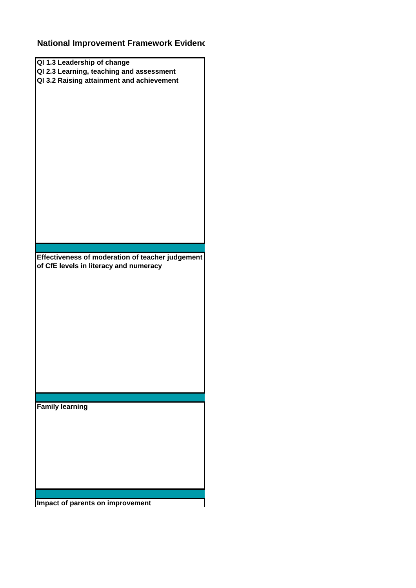## **National Improvement Framework Evidence**

| QI 1.3 Leadership of change                      |  |
|--------------------------------------------------|--|
| QI 2.3 Learning, teaching and assessment         |  |
| QI 3.2 Raising attainment and achievement        |  |
|                                                  |  |
|                                                  |  |
|                                                  |  |
|                                                  |  |
|                                                  |  |
|                                                  |  |
|                                                  |  |
|                                                  |  |
|                                                  |  |
|                                                  |  |
|                                                  |  |
|                                                  |  |
|                                                  |  |
|                                                  |  |
|                                                  |  |
|                                                  |  |
|                                                  |  |
|                                                  |  |
|                                                  |  |
|                                                  |  |
|                                                  |  |
|                                                  |  |
|                                                  |  |
| Effectiveness of moderation of teacher judgement |  |
|                                                  |  |
| of CfE levels in literacy and numeracy           |  |
|                                                  |  |
|                                                  |  |
|                                                  |  |
|                                                  |  |
|                                                  |  |
|                                                  |  |
|                                                  |  |
|                                                  |  |
|                                                  |  |
|                                                  |  |
|                                                  |  |
|                                                  |  |
|                                                  |  |
|                                                  |  |
|                                                  |  |
|                                                  |  |
|                                                  |  |
|                                                  |  |
|                                                  |  |
| <b>Family learning</b>                           |  |
|                                                  |  |
|                                                  |  |
|                                                  |  |
|                                                  |  |
|                                                  |  |
|                                                  |  |
|                                                  |  |
|                                                  |  |
|                                                  |  |
|                                                  |  |
|                                                  |  |
|                                                  |  |
| Impact of parents on improvement                 |  |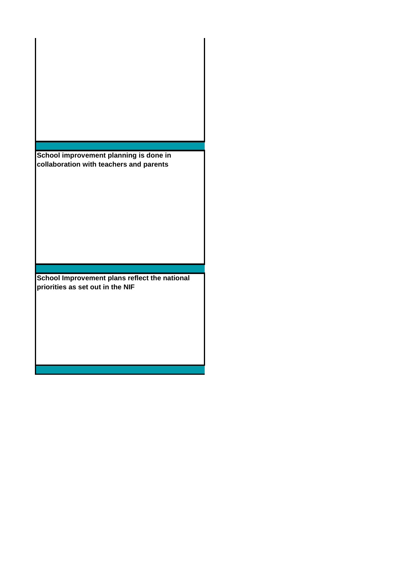**School improvement planning is done in collaboration with teachers and parents**

**School Improvement plans reflect the national priorities as set out in the NIF**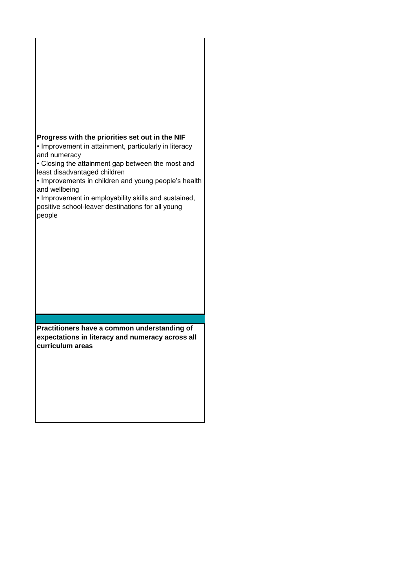## **Progress with the priorities set out in the NIF**

• Improvement in attainment, particularly in literacy and numeracy

• Closing the attainment gap between the most and least disadvantaged children

• Improvements in children and young people's health and wellbeing

• Improvement in employability skills and sustained, positive school-leaver destinations for all young people

**Practitioners have a common understanding of expectations in literacy and numeracy across all curriculum areas**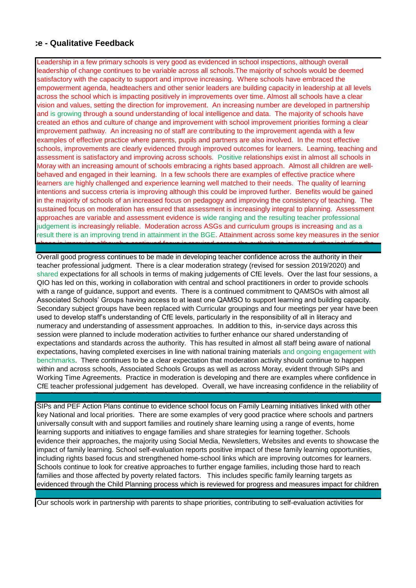## **National Improvement Framework Evidence - Qualitative Feedback**

and families at each meeting.

Leadership in a few primary schools is very good as evidenced in school inspections, although overall leadership of change continues to be variable across all schools.The majority of schools would be deemed satisfactory with the capacity to support and improve increasing. Where schools have embraced the empowerment agenda, headteachers and other senior leaders are building capacity in leadership at all levels across the school which is impacting positively in improvements over time. Almost all schools have a clear vision and values, setting the direction for improvement. An increasing number are developed in partnership and is growing through a sound understanding of local intelligence and data. The majority of schools have created an ethos and culture of change and improvement with school improvement priorities forming a clear improvement pathway. An increasing no of staff are contributing to the improvement agenda with a few examples of effective practice where parents, pupils and partners are also involved. In the most effective schools, improvements are clearly evidenced through improved outcomes for learners. Learning, teaching and assessment is satisfactory and improving across schools. Positive relationships exist in almost all schools in Moray with an increasing amount of schools embracing a rights based approach. Almost all children are wellbehaved and engaged in their learning. In a few schools there are examples of effective practice where learners are highly challenged and experience learning well matched to their needs. The quality of learning intentions and success crteria is improving although this could be improved further. Benefits would be gained in the majority of schools of an increased focus on pedagogy and improving the consistency of teaching. The sustained focus on moderation has ensured that assessment is increasingly integral to planning. Assessment approaches are variable and assessment evidence is wide ranging and the resulting teacher professional judgement is increasingly reliable. Moderation across ASGs and curriculum groups is increasing and as a result there is an improving trend in attainment in the BGE. Attainment across some key measures in the senior

Overall good progress continues to be made in developing teacher confidence across the authority in their teacher professional judgment. There is a clear moderation strategy (revised for session 2019/2020) and shared expectations for all schools in terms of making judgements of CfE levels. Over the last four sessions, a QIO has led on this, working in collaboration with central and school practitioners in order to provide schools with a range of guidance, support and events. There is a continued commitment to QAMSOs with almost all Associated Schools' Groups having access to at least one QAMSO to support learning and building capacity. Secondary subject groups have been replaced with Curricular groupings and four meetings per year have been used to develop staff's understanding of CfE levels, particularly in the responsibility of all in literacy and numeracy and understanding of assessment approaches. In addition to this, in-service days across this session were planned to include moderation activities to further enhance our shared understanding of expectations and standards across the authority. This has resulted in almost all staff being aware of national expectations, having completed exercises in line with national training materials and ongoing engagement with benchmarks. There continues to be a clear expectation that moderation activity should continue to happen within and across schools, Associated Schools Groups as well as across Moray, evident through SIPs and Working Time Agreements. Practice in moderation is developing and there are examples where confidence in CfE teacher professional judgement has developed. Overall, we have increasing confidence in the reliability of

phase is improving although a continued focus is required across the authority to improve further including the

SIPs and PEF Action Plans continue to evidence school focus on Family Learning initiatives linked with other key National and local priorities. There are some examples of very good practice where schools and partners universally consult with and support families and routinely share learning using a range of events, home learning supports and initiatives to engage families and share strategies for learning together. Schools evidence their approaches, the majority using Social Media, Newsletters, Websites and events to showcase the impact of family learning. School self-evaluation reports positive impact of these family learning opportunities, including rights based focus and strengthened home-school links which are improving outcomes for learners. Schools continue to look for creative approaches to further engage families, including those hard to reach families and those affected by poverty related factors. This includes specific family learning targets as evidenced through the Child Planning process which is reviewed for progress and measures impact for children

our data and we will continue with planned work in this area. This was confirmed through discussion with a set

Our schools work in partnership with parents to shape priorities, contributing to self-evaluation activities for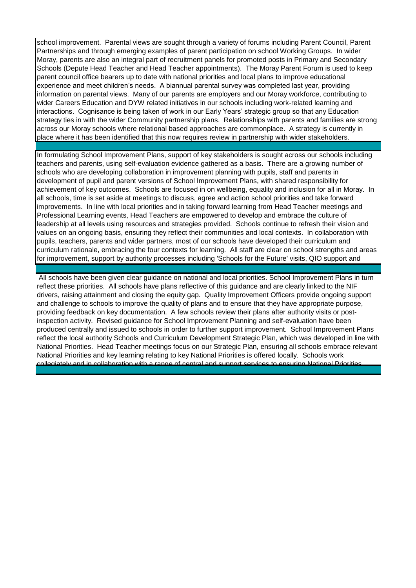school improvement. Parental views are sought through a variety of forums including Parent Council, Parent Partnerships and through emerging examples of parent participation on school Working Groups. In wider Moray, parents are also an integral part of recruitment panels for promoted posts in Primary and Secondary Schools (Depute Head Teacher and Head Teacher appointments). The Moray Parent Forum is used to keep parent council office bearers up to date with national priorities and local plans to improve educational experience and meet children's needs. A biannual parental survey was completed last year, providing information on parental views. Many of our parents are employers and our Moray workforce, contributing to wider Careers Education and DYW related initiatives in our schools including work-related learning and interactions. Cognisance is being taken of work in our Early Years' strategic group so that any Education strategy ties in with the wider Community partnership plans. Relationships with parents and families are strong across our Moray schools where relational based approaches are commonplace. A strategy is currently in place where it has been identified that this now requires review in partnership with wider stakeholders.

In formulating School Improvement Plans, support of key stakeholders is sought across our schools including teachers and parents, using self-evaluation evidence gathered as a basis. There are a growing number of schools who are developing collaboration in improvement planning with pupils, staff and parents in development of pupil and parent versions of School Improvement Plans, with shared responsibility for achievement of key outcomes. Schools are focused in on wellbeing, equality and inclusion for all in Moray. In all schools, time is set aside at meetings to discuss, agree and action school priorities and take forward improvements. In line with local priorities and in taking forward learning from Head Teacher meetings and Professional Learning events, Head Teachers are empowered to develop and embrace the culture of leadership at all levels using resources and strategies provided. Schools continue to refresh their vision and values on an ongoing basis, ensuring they reflect their communities and local contexts. In collaboration with pupils, teachers, parents and wider partners, most of our schools have developed their curriculum and curriculum rationale, embracing the four contexts for learning. All staff are clear on school strengths and areas for improvement, support by authority processes including 'Schools for the Future' visits, QIO support and

 All schools have been given clear guidance on national and local priorities. School Improvement Plans in turn reflect these priorities. All schools have plans reflective of this guidance and are clearly linked to the NIF drivers, raising attainment and closing the equity gap. Quality Improvement Officers provide ongoing support and challenge to schools to improve the quality of plans and to ensure that they have appropriate purpose, providing feedback on key documentation. A few schools review their plans after authority visits or postinspection activity. Revised guidance for School Improvement Planning and self-evaluation have been produced centrally and issued to schools in order to further support improvement. School Improvement Plans reflect the local authority Schools and Curriculum Development Strategic Plan, which was developed in line with National Priorities. Head Teacher meetings focus on our Strategic Plan, ensuring all schools embrace relevant National Priorities and key learning relating to key National Priorities is offered locally. Schools work collegiately and in collaboration with a range of central and support services to ensuring National Priorities

challenge visits and wider self-evaluation activities supporting improvement.